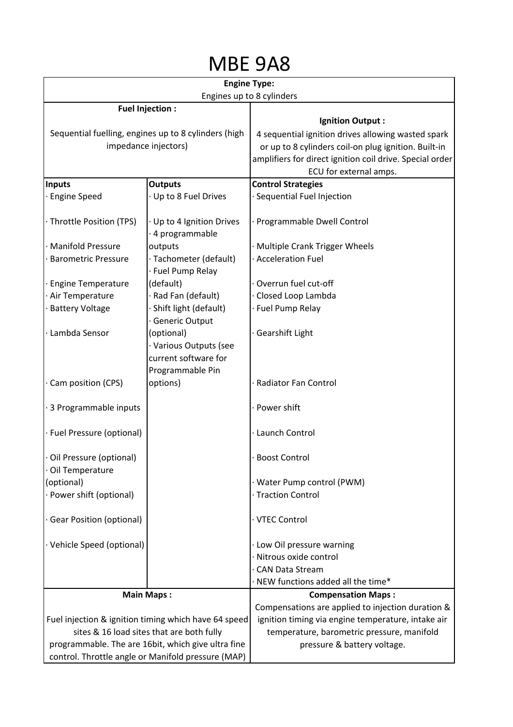## MBE 9A8

| <b>Engine Type:</b><br>Engines up to 8 cylinders     |                                                                    |                                                          |
|------------------------------------------------------|--------------------------------------------------------------------|----------------------------------------------------------|
|                                                      |                                                                    |                                                          |
| <b>Fuel Injection:</b>                               |                                                                    | <b>Ignition Output:</b>                                  |
| Sequential fuelling, engines up to 8 cylinders (high |                                                                    | 4 sequential ignition drives allowing wasted spark       |
| impedance injectors)                                 |                                                                    | or up to 8 cylinders coil-on plug ignition. Built-in     |
|                                                      |                                                                    | amplifiers for direct ignition coil drive. Special order |
|                                                      |                                                                    | ECU for external amps.                                   |
| <b>Inputs</b>                                        | <b>Outputs</b>                                                     | <b>Control Strategies</b>                                |
| <b>Engine Speed</b>                                  | Up to 8 Fuel Drives                                                | Sequential Fuel Injection                                |
| · Throttle Position (TPS)                            | · Up to 4 Ignition Drives<br>4 programmable                        | Programmable Dwell Control                               |
| <b>Manifold Pressure</b>                             | outputs                                                            | Multiple Crank Trigger Wheels                            |
| <b>Barometric Pressure</b>                           | · Tachometer (default)<br>· Fuel Pump Relay                        | Acceleration Fuel                                        |
| <b>Engine Temperature</b>                            | (default)                                                          | Overrun fuel cut-off                                     |
| Air Temperature                                      | Rad Fan (default)                                                  | Closed Loop Lambda                                       |
| <b>Battery Voltage</b>                               | Shift light (default)                                              | Fuel Pump Relay                                          |
|                                                      | <b>Generic Output</b>                                              |                                                          |
| Lambda Sensor                                        | (optional)                                                         | Gearshift Light                                          |
|                                                      | · Various Outputs (see<br>current software for<br>Programmable Pin |                                                          |
| Cam position (CPS)                                   | options)                                                           | Radiator Fan Control                                     |
| · 3 Programmable inputs                              |                                                                    | · Power shift                                            |
| · Fuel Pressure (optional)                           |                                                                    | Launch Control                                           |
| · Oil Pressure (optional)<br>· Oil Temperature       |                                                                    | <b>Boost Control</b>                                     |
| (optional)                                           |                                                                    | Water Pump control (PWM)                                 |
| · Power shift (optional)                             |                                                                    | <b>Traction Control</b>                                  |
|                                                      |                                                                    |                                                          |
| <b>Gear Position (optional)</b>                      |                                                                    | · VTEC Control                                           |
| · Vehicle Speed (optional)                           |                                                                    | Low Oil pressure warning                                 |
|                                                      |                                                                    | Nitrous oxide control                                    |
|                                                      |                                                                    | <b>CAN Data Stream</b>                                   |
|                                                      |                                                                    | NEW functions added all the time*                        |
| <b>Main Maps:</b>                                    |                                                                    | <b>Compensation Maps:</b>                                |
|                                                      |                                                                    | Compensations are applied to injection duration &        |
| Fuel injection & ignition timing which have 64 speed |                                                                    | ignition timing via engine temperature, intake air       |
| sites & 16 load sites that are both fully            |                                                                    | temperature, barometric pressure, manifold               |
| programmable. The are 16bit, which give ultra fine   |                                                                    | pressure & battery voltage.                              |
| control. Throttle angle or Manifold pressure (MAP)   |                                                                    |                                                          |